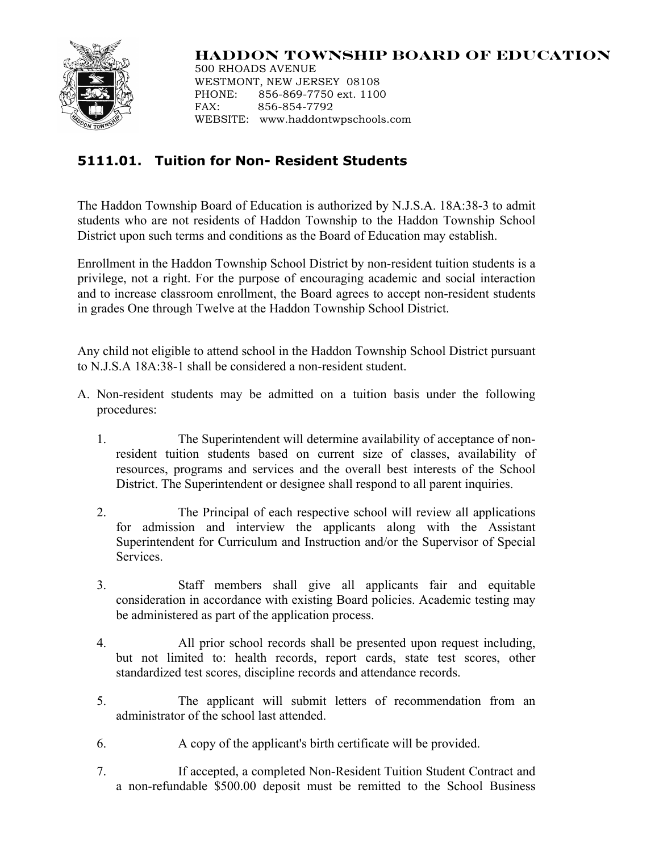

## **HADDON TOWNSHIP BOARD OF EDUCATION**

500 RHOADS AVENUE WESTMONT, NEW JERSEY 08108 PHONE: 856-869-7750 ext. 1100 FAX: 856-854-7792 WEBSITE: www.haddontwpschools.com

## **5111.01. Tuition for Non- Resident Students**

The Haddon Township Board of Education is authorized by N.J.S.A. 18A:38-3 to admit students who are not residents of Haddon Township to the Haddon Township School District upon such terms and conditions as the Board of Education may establish.

Enrollment in the Haddon Township School District by non-resident tuition students is a privilege, not a right. For the purpose of encouraging academic and social interaction and to increase classroom enrollment, the Board agrees to accept non-resident students in grades One through Twelve at the Haddon Township School District.

Any child not eligible to attend school in the Haddon Township School District pursuant to N.J.S.A 18A:38-1 shall be considered a non-resident student.

- A. Non-resident students may be admitted on a tuition basis under the following procedures:
	- 1. The Superintendent will determine availability of acceptance of nonresident tuition students based on current size of classes, availability of resources, programs and services and the overall best interests of the School District. The Superintendent or designee shall respond to all parent inquiries.
	- 2. The Principal of each respective school will review all applications for admission and interview the applicants along with the Assistant Superintendent for Curriculum and Instruction and/or the Supervisor of Special Services.
	- 3. Staff members shall give all applicants fair and equitable consideration in accordance with existing Board policies. Academic testing may be administered as part of the application process.
	- 4. All prior school records shall be presented upon request including, but not limited to: health records, report cards, state test scores, other standardized test scores, discipline records and attendance records.
	- 5. The applicant will submit letters of recommendation from an administrator of the school last attended.
	- 6. A copy of the applicant's birth certificate will be provided.
	- 7. If accepted, a completed Non-Resident Tuition Student Contract and a non-refundable \$500.00 deposit must be remitted to the School Business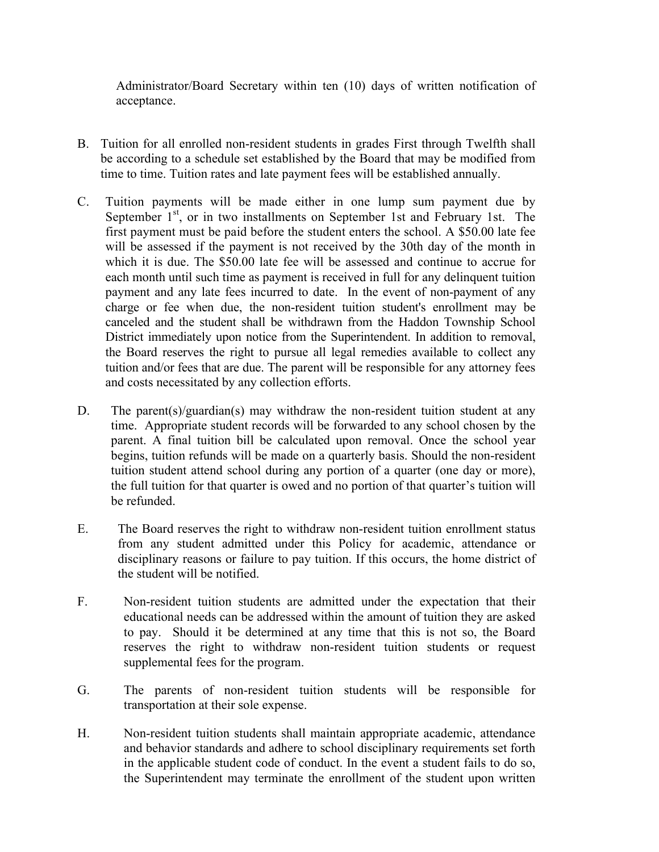Administrator/Board Secretary within ten (10) days of written notification of acceptance.

- B. Tuition for all enrolled non-resident students in grades First through Twelfth shall be according to a schedule set established by the Board that may be modified from time to time. Tuition rates and late payment fees will be established annually.
- C. Tuition payments will be made either in one lump sum payment due by September  $1<sup>st</sup>$ , or in two installments on September 1st and February 1st. The first payment must be paid before the student enters the school. A \$50.00 late fee will be assessed if the payment is not received by the 30th day of the month in which it is due. The \$50.00 late fee will be assessed and continue to accrue for each month until such time as payment is received in full for any delinquent tuition payment and any late fees incurred to date. In the event of non-payment of any charge or fee when due, the non-resident tuition student's enrollment may be canceled and the student shall be withdrawn from the Haddon Township School District immediately upon notice from the Superintendent. In addition to removal, the Board reserves the right to pursue all legal remedies available to collect any tuition and/or fees that are due. The parent will be responsible for any attorney fees and costs necessitated by any collection efforts.
- D. The parent(s)/guardian(s) may withdraw the non-resident tuition student at any time. Appropriate student records will be forwarded to any school chosen by the parent. A final tuition bill be calculated upon removal. Once the school year begins, tuition refunds will be made on a quarterly basis. Should the non-resident tuition student attend school during any portion of a quarter (one day or more), the full tuition for that quarter is owed and no portion of that quarter's tuition will be refunded.
- E. The Board reserves the right to withdraw non-resident tuition enrollment status from any student admitted under this Policy for academic, attendance or disciplinary reasons or failure to pay tuition. If this occurs, the home district of the student will be notified.
- F. Non-resident tuition students are admitted under the expectation that their educational needs can be addressed within the amount of tuition they are asked to pay. Should it be determined at any time that this is not so, the Board reserves the right to withdraw non-resident tuition students or request supplemental fees for the program.
- G. The parents of non-resident tuition students will be responsible for transportation at their sole expense.
- H. Non-resident tuition students shall maintain appropriate academic, attendance and behavior standards and adhere to school disciplinary requirements set forth in the applicable student code of conduct. In the event a student fails to do so, the Superintendent may terminate the enrollment of the student upon written